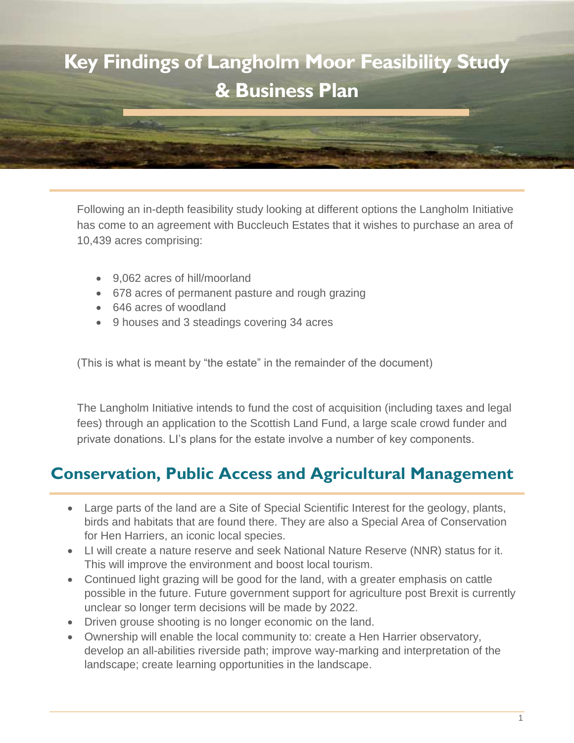

Following an in-depth feasibility study looking at different options the Langholm Initiative has come to an agreement with Buccleuch Estates that it wishes to purchase an area of 10,439 acres comprising:

- 9,062 acres of hill/moorland
- 678 acres of permanent pasture and rough grazing
- 646 acres of woodland
- 9 houses and 3 steadings covering 34 acres

(This is what is meant by "the estate" in the remainder of the document)

The Langholm Initiative intends to fund the cost of acquisition (including taxes and legal fees) through an application to the Scottish Land Fund, a large scale crowd funder and private donations. LI's plans for the estate involve a number of key components.

### **Conservation, Public Access and Agricultural Management**

- Large parts of the land are a Site of Special Scientific Interest for the geology, plants, birds and habitats that are found there. They are also a Special Area of Conservation for Hen Harriers, an iconic local species.
- LI will create a nature reserve and seek National Nature Reserve (NNR) status for it. This will improve the environment and boost local tourism.
- Continued light grazing will be good for the land, with a greater emphasis on cattle possible in the future. Future government support for agriculture post Brexit is currently unclear so longer term decisions will be made by 2022.
- Driven grouse shooting is no longer economic on the land.
- Ownership will enable the local community to: create a Hen Harrier observatory, develop an all-abilities riverside path; improve way-marking and interpretation of the landscape; create learning opportunities in the landscape.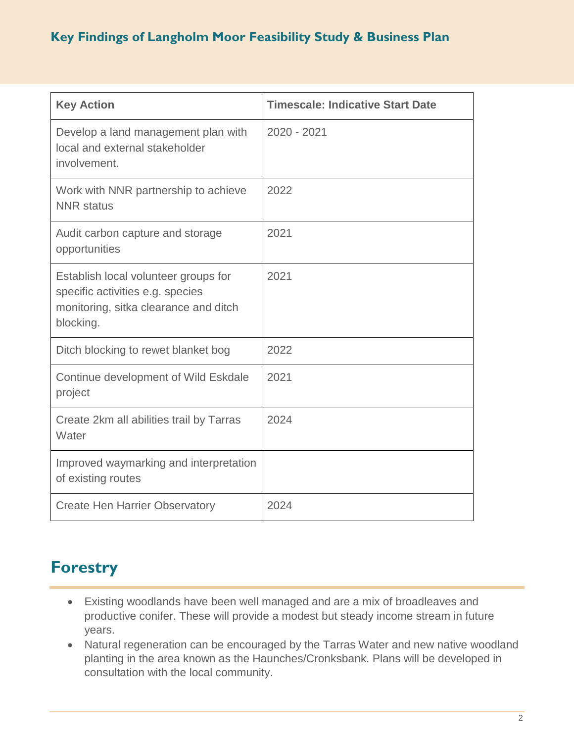| <b>Key Action</b>                                                                                                              | <b>Timescale: Indicative Start Date</b> |
|--------------------------------------------------------------------------------------------------------------------------------|-----------------------------------------|
| Develop a land management plan with<br>local and external stakeholder<br>involvement.                                          | 2020 - 2021                             |
| Work with NNR partnership to achieve<br><b>NNR</b> status                                                                      | 2022                                    |
| Audit carbon capture and storage<br>opportunities                                                                              | 2021                                    |
| Establish local volunteer groups for<br>specific activities e.g. species<br>monitoring, sitka clearance and ditch<br>blocking. | 2021                                    |
| Ditch blocking to rewet blanket bog                                                                                            | 2022                                    |
| Continue development of Wild Eskdale<br>project                                                                                | 2021                                    |
| Create 2km all abilities trail by Tarras<br>Water                                                                              | 2024                                    |
| Improved waymarking and interpretation<br>of existing routes                                                                   |                                         |
| <b>Create Hen Harrier Observatory</b>                                                                                          | 2024                                    |

# **Forestry**

- Existing woodlands have been well managed and are a mix of broadleaves and productive conifer. These will provide a modest but steady income stream in future years.
- Natural regeneration can be encouraged by the Tarras Water and new native woodland planting in the area known as the Haunches/Cronksbank. Plans will be developed in consultation with the local community.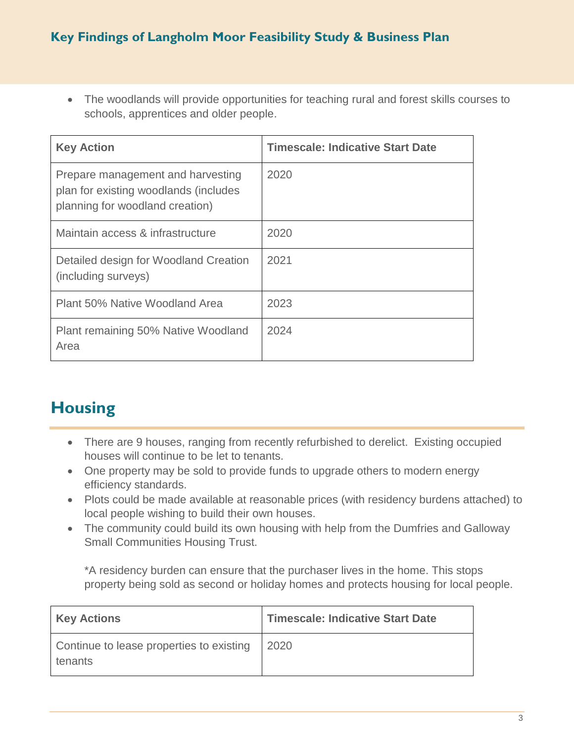The woodlands will provide opportunities for teaching rural and forest skills courses to schools, apprentices and older people.

| <b>Key Action</b>                                                                                             | <b>Timescale: Indicative Start Date</b> |
|---------------------------------------------------------------------------------------------------------------|-----------------------------------------|
| Prepare management and harvesting<br>plan for existing woodlands (includes<br>planning for woodland creation) | 2020                                    |
| Maintain access & infrastructure                                                                              | 2020                                    |
| Detailed design for Woodland Creation<br>(including surveys)                                                  | 2021                                    |
| Plant 50% Native Woodland Area                                                                                | 2023                                    |
| Plant remaining 50% Native Woodland<br>Area                                                                   | 2024                                    |

# **Housing**

- There are 9 houses, ranging from recently refurbished to derelict. Existing occupied houses will continue to be let to tenants.
- One property may be sold to provide funds to upgrade others to modern energy efficiency standards.
- Plots could be made available at reasonable prices (with residency burdens attached) to local people wishing to build their own houses.
- The community could build its own housing with help from the Dumfries and Galloway Small Communities Housing Trust.

\*A residency burden can ensure that the purchaser lives in the home. This stops property being sold as second or holiday homes and protects housing for local people.

| <b>Key Actions</b>                                  | Timescale: Indicative Start Date |
|-----------------------------------------------------|----------------------------------|
| Continue to lease properties to existing<br>tenants | 2020                             |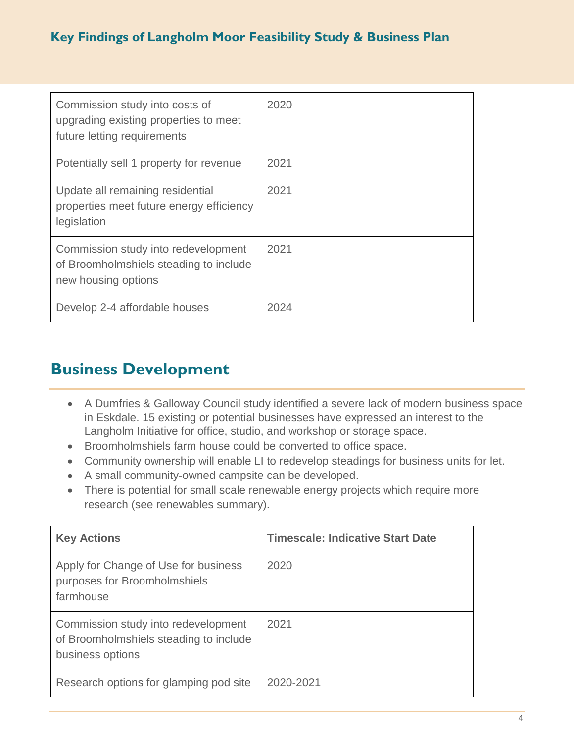| Commission study into costs of<br>upgrading existing properties to meet<br>future letting requirements | 2020 |
|--------------------------------------------------------------------------------------------------------|------|
| Potentially sell 1 property for revenue                                                                | 2021 |
| Update all remaining residential<br>properties meet future energy efficiency<br>legislation            | 2021 |
| Commission study into redevelopment<br>of Broomholmshiels steading to include<br>new housing options   | 2021 |
| Develop 2-4 affordable houses                                                                          | 2024 |

### **Business Development**

- A Dumfries & Galloway Council study identified a severe lack of modern business space in Eskdale. 15 existing or potential businesses have expressed an interest to the Langholm Initiative for office, studio, and workshop or storage space.
- Broomholmshiels farm house could be converted to office space.
- Community ownership will enable LI to redevelop steadings for business units for let.
- A small community-owned campsite can be developed.
- There is potential for small scale renewable energy projects which require more research (see renewables summary).

| <b>Key Actions</b>                                                                                | <b>Timescale: Indicative Start Date</b> |
|---------------------------------------------------------------------------------------------------|-----------------------------------------|
| Apply for Change of Use for business<br>purposes for Broomholmshiels<br>farmhouse                 | 2020                                    |
| Commission study into redevelopment<br>of Broomholmshiels steading to include<br>business options | 2021                                    |
| Research options for glamping pod site                                                            | 2020-2021                               |